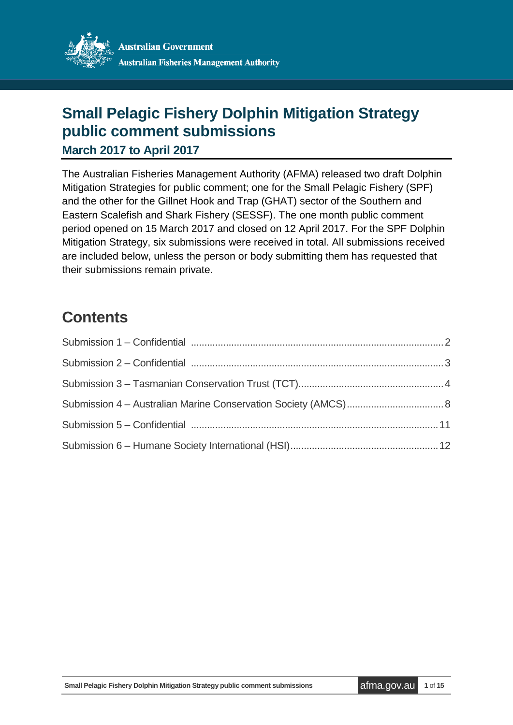

# **Small Pelagic Fishery Dolphin Mitigation Strategy public comment submissions**

**March 2017 to April 2017**

The Australian Fisheries Management Authority (AFMA) released two draft Dolphin Mitigation Strategies for public comment; one for the Small Pelagic Fishery (SPF) and the other for the Gillnet Hook and Trap (GHAT) sector of the Southern and Eastern Scalefish and Shark Fishery (SESSF). The one month public comment period opened on 15 March 2017 and closed on 12 April 2017. For the SPF Dolphin Mitigation Strategy, six submissions were received in total. All submissions received are included below, unless the person or body submitting them has requested that their submissions remain private.

# **Contents**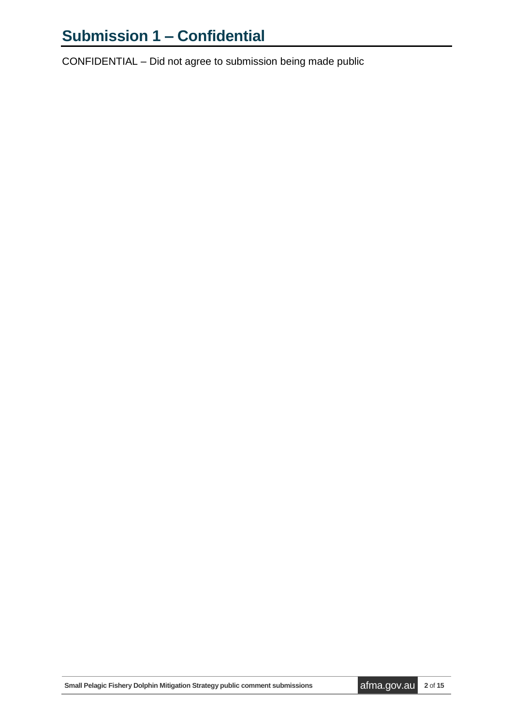# <span id="page-1-0"></span>**Submission 1 – Confidential**

CONFIDENTIAL – Did not agree to submission being made public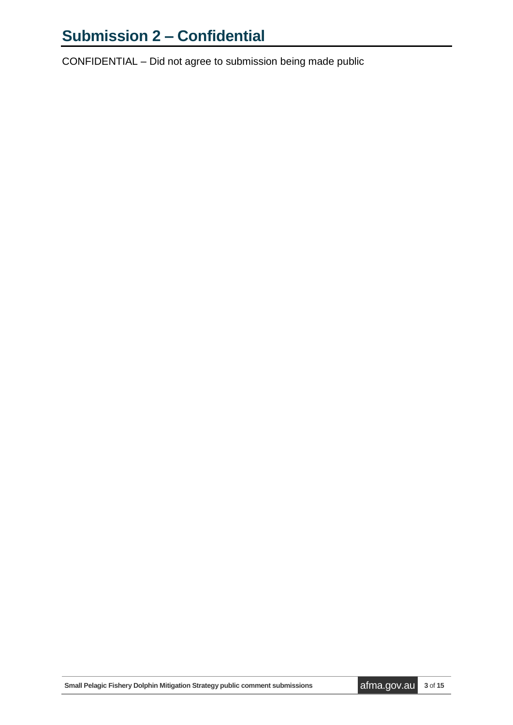# <span id="page-2-0"></span>**Submission 2 – Confidential**

CONFIDENTIAL – Did not agree to submission being made public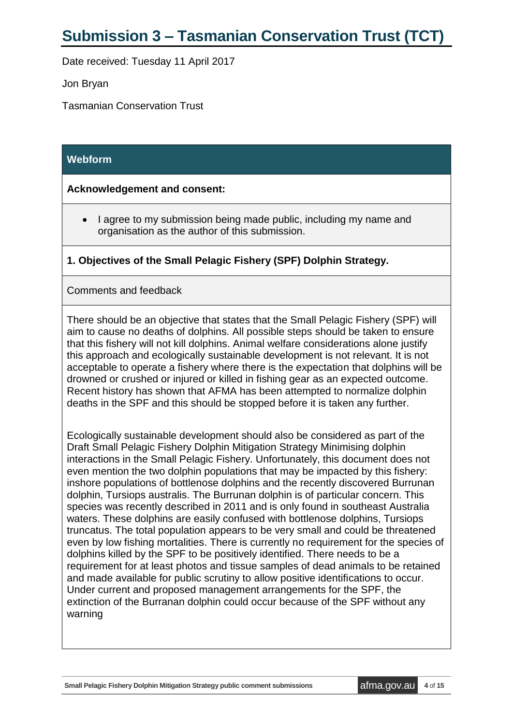# <span id="page-3-0"></span>**Submission 3 – Tasmanian Conservation Trust (TCT)**

Date received: Tuesday 11 April 2017

Jon Bryan

Tasmanian Conservation Trust

#### **Webform**

#### **Acknowledgement and consent:**

• I agree to my submission being made public, including my name and organisation as the author of this submission.

#### **1. Objectives of the Small Pelagic Fishery (SPF) Dolphin Strategy.**

#### Comments and feedback

There should be an objective that states that the Small Pelagic Fishery (SPF) will aim to cause no deaths of dolphins. All possible steps should be taken to ensure that this fishery will not kill dolphins. Animal welfare considerations alone justify this approach and ecologically sustainable development is not relevant. It is not acceptable to operate a fishery where there is the expectation that dolphins will be drowned or crushed or injured or killed in fishing gear as an expected outcome. Recent history has shown that AFMA has been attempted to normalize dolphin deaths in the SPF and this should be stopped before it is taken any further.

Ecologically sustainable development should also be considered as part of the Draft Small Pelagic Fishery Dolphin Mitigation Strategy Minimising dolphin interactions in the Small Pelagic Fishery. Unfortunately, this document does not even mention the two dolphin populations that may be impacted by this fishery: inshore populations of bottlenose dolphins and the recently discovered Burrunan dolphin, Tursiops australis. The Burrunan dolphin is of particular concern. This species was recently described in 2011 and is only found in southeast Australia waters. These dolphins are easily confused with bottlenose dolphins, Tursiops truncatus. The total population appears to be very small and could be threatened even by low fishing mortalities. There is currently no requirement for the species of dolphins killed by the SPF to be positively identified. There needs to be a requirement for at least photos and tissue samples of dead animals to be retained and made available for public scrutiny to allow positive identifications to occur. Under current and proposed management arrangements for the SPF, the extinction of the Burranan dolphin could occur because of the SPF without any warning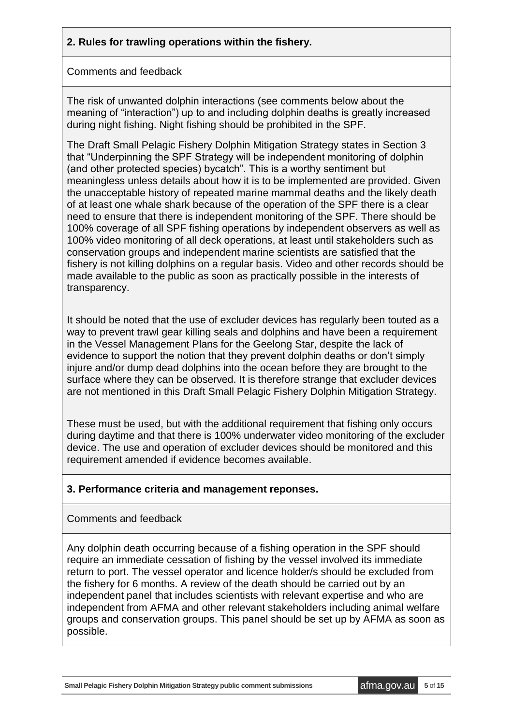## **2. Rules for trawling operations within the fishery.**

#### Comments and feedback

The risk of unwanted dolphin interactions (see comments below about the meaning of "interaction") up to and including dolphin deaths is greatly increased during night fishing. Night fishing should be prohibited in the SPF.

The Draft Small Pelagic Fishery Dolphin Mitigation Strategy states in Section 3 that "Underpinning the SPF Strategy will be independent monitoring of dolphin (and other protected species) bycatch". This is a worthy sentiment but meaningless unless details about how it is to be implemented are provided. Given the unacceptable history of repeated marine mammal deaths and the likely death of at least one whale shark because of the operation of the SPF there is a clear need to ensure that there is independent monitoring of the SPF. There should be 100% coverage of all SPF fishing operations by independent observers as well as 100% video monitoring of all deck operations, at least until stakeholders such as conservation groups and independent marine scientists are satisfied that the fishery is not killing dolphins on a regular basis. Video and other records should be made available to the public as soon as practically possible in the interests of transparency.

It should be noted that the use of excluder devices has regularly been touted as a way to prevent trawl gear killing seals and dolphins and have been a requirement in the Vessel Management Plans for the Geelong Star, despite the lack of evidence to support the notion that they prevent dolphin deaths or don't simply injure and/or dump dead dolphins into the ocean before they are brought to the surface where they can be observed. It is therefore strange that excluder devices are not mentioned in this Draft Small Pelagic Fishery Dolphin Mitigation Strategy.

These must be used, but with the additional requirement that fishing only occurs during daytime and that there is 100% underwater video monitoring of the excluder device. The use and operation of excluder devices should be monitored and this requirement amended if evidence becomes available.

#### **3. Performance criteria and management reponses.**

#### Comments and feedback

Any dolphin death occurring because of a fishing operation in the SPF should require an immediate cessation of fishing by the vessel involved its immediate return to port. The vessel operator and licence holder/s should be excluded from the fishery for 6 months. A review of the death should be carried out by an independent panel that includes scientists with relevant expertise and who are independent from AFMA and other relevant stakeholders including animal welfare groups and conservation groups. This panel should be set up by AFMA as soon as possible.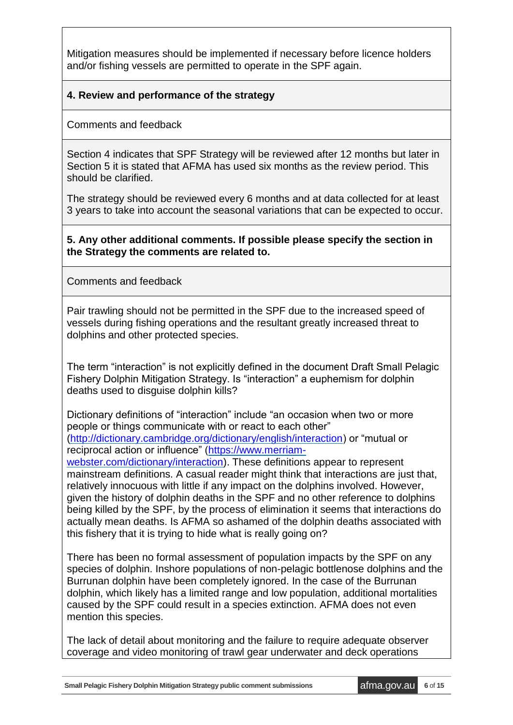Mitigation measures should be implemented if necessary before licence holders and/or fishing vessels are permitted to operate in the SPF again.

### **4. Review and performance of the strategy**

Comments and feedback

Section 4 indicates that SPF Strategy will be reviewed after 12 months but later in Section 5 it is stated that AFMA has used six months as the review period. This should be clarified.

The strategy should be reviewed every 6 months and at data collected for at least 3 years to take into account the seasonal variations that can be expected to occur.

#### **5. Any other additional comments. If possible please specify the section in the Strategy the comments are related to.**

Comments and feedback

Pair trawling should not be permitted in the SPF due to the increased speed of vessels during fishing operations and the resultant greatly increased threat to dolphins and other protected species.

The term "interaction" is not explicitly defined in the document Draft Small Pelagic Fishery Dolphin Mitigation Strategy. Is "interaction" a euphemism for dolphin deaths used to disguise dolphin kills?

Dictionary definitions of "interaction" include "an occasion when two or more people or things communicate with or react to each other" [\(http://dictionary.cambridge.org/dictionary/english/interaction\)](http://dictionary.cambridge.org/dictionary/english/interaction) or "mutual or reciprocal action or influence" [\(https://www.merriam-](https://www.merriam-webster.com/dictionary/interaction)

[webster.com/dictionary/interaction\)](https://www.merriam-webster.com/dictionary/interaction). These definitions appear to represent mainstream definitions. A casual reader might think that interactions are just that, relatively innocuous with little if any impact on the dolphins involved. However, given the history of dolphin deaths in the SPF and no other reference to dolphins being killed by the SPF, by the process of elimination it seems that interactions do actually mean deaths. Is AFMA so ashamed of the dolphin deaths associated with this fishery that it is trying to hide what is really going on?

There has been no formal assessment of population impacts by the SPF on any species of dolphin. Inshore populations of non-pelagic bottlenose dolphins and the Burrunan dolphin have been completely ignored. In the case of the Burrunan dolphin, which likely has a limited range and low population, additional mortalities caused by the SPF could result in a species extinction. AFMA does not even mention this species.

The lack of detail about monitoring and the failure to require adequate observer coverage and video monitoring of trawl gear underwater and deck operations

**Small Pelagic Fishery Dolphin Mitigation Strategy public comment submissions afma.gov.au** 6 of 15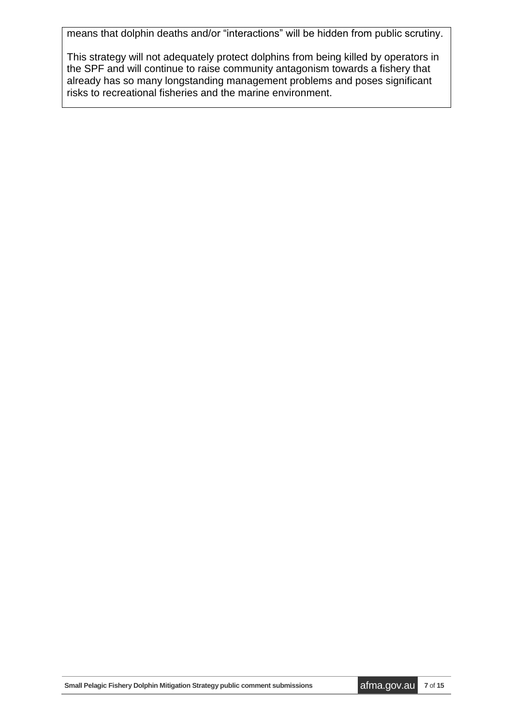means that dolphin deaths and/or "interactions" will be hidden from public scrutiny.

This strategy will not adequately protect dolphins from being killed by operators in the SPF and will continue to raise community antagonism towards a fishery that already has so many longstanding management problems and poses significant risks to recreational fisheries and the marine environment.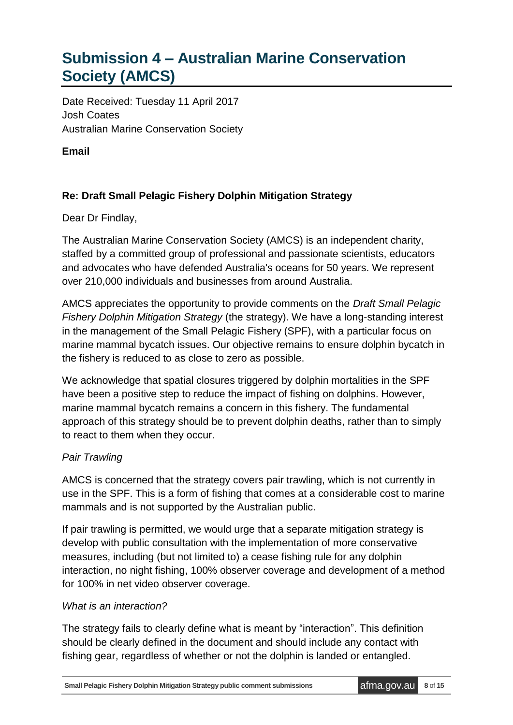# <span id="page-7-0"></span>**Submission 4 – Australian Marine Conservation Society (AMCS)**

Date Received: Tuesday 11 April 2017 Josh Coates Australian Marine Conservation Society

**Email** 

## **Re: Draft Small Pelagic Fishery Dolphin Mitigation Strategy**

Dear Dr Findlay,

The Australian Marine Conservation Society (AMCS) is an independent charity, staffed by a committed group of professional and passionate scientists, educators and advocates who have defended Australia's oceans for 50 years. We represent over 210,000 individuals and businesses from around Australia.

AMCS appreciates the opportunity to provide comments on the *Draft Small Pelagic Fishery Dolphin Mitigation Strategy* (the strategy). We have a long-standing interest in the management of the Small Pelagic Fishery (SPF), with a particular focus on marine mammal bycatch issues. Our objective remains to ensure dolphin bycatch in the fishery is reduced to as close to zero as possible.

We acknowledge that spatial closures triggered by dolphin mortalities in the SPF have been a positive step to reduce the impact of fishing on dolphins. However, marine mammal bycatch remains a concern in this fishery. The fundamental approach of this strategy should be to prevent dolphin deaths, rather than to simply to react to them when they occur.

## *Pair Trawling*

AMCS is concerned that the strategy covers pair trawling, which is not currently in use in the SPF. This is a form of fishing that comes at a considerable cost to marine mammals and is not supported by the Australian public.

If pair trawling is permitted, we would urge that a separate mitigation strategy is develop with public consultation with the implementation of more conservative measures, including (but not limited to) a cease fishing rule for any dolphin interaction, no night fishing, 100% observer coverage and development of a method for 100% in net video observer coverage.

#### *What is an interaction?*

The strategy fails to clearly define what is meant by "interaction". This definition should be clearly defined in the document and should include any contact with fishing gear, regardless of whether or not the dolphin is landed or entangled.

**Small Pelagic Fishery Dolphin Mitigation Strategy public comment submissions afma.gov.au** 8 of 15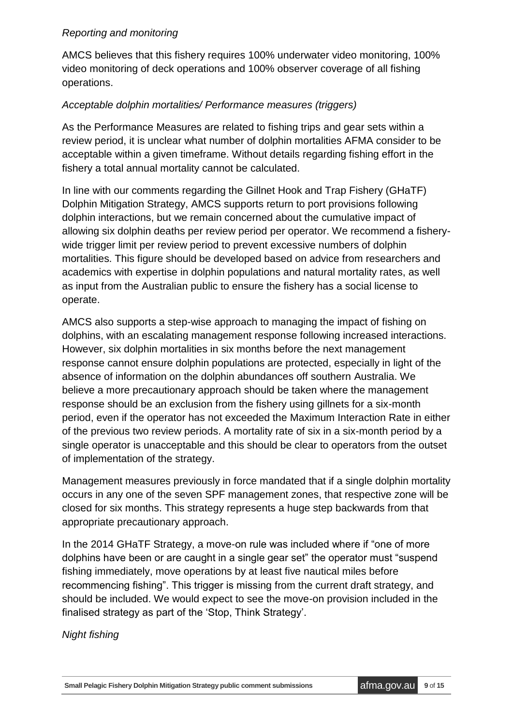#### *Reporting and monitoring*

AMCS believes that this fishery requires 100% underwater video monitoring, 100% video monitoring of deck operations and 100% observer coverage of all fishing operations.

### *Acceptable dolphin mortalities/ Performance measures (triggers)*

As the Performance Measures are related to fishing trips and gear sets within a review period, it is unclear what number of dolphin mortalities AFMA consider to be acceptable within a given timeframe. Without details regarding fishing effort in the fishery a total annual mortality cannot be calculated.

In line with our comments regarding the Gillnet Hook and Trap Fishery (GHaTF) Dolphin Mitigation Strategy, AMCS supports return to port provisions following dolphin interactions, but we remain concerned about the cumulative impact of allowing six dolphin deaths per review period per operator. We recommend a fisherywide trigger limit per review period to prevent excessive numbers of dolphin mortalities. This figure should be developed based on advice from researchers and academics with expertise in dolphin populations and natural mortality rates, as well as input from the Australian public to ensure the fishery has a social license to operate.

AMCS also supports a step-wise approach to managing the impact of fishing on dolphins, with an escalating management response following increased interactions. However, six dolphin mortalities in six months before the next management response cannot ensure dolphin populations are protected, especially in light of the absence of information on the dolphin abundances off southern Australia. We believe a more precautionary approach should be taken where the management response should be an exclusion from the fishery using gillnets for a six-month period, even if the operator has not exceeded the Maximum Interaction Rate in either of the previous two review periods. A mortality rate of six in a six-month period by a single operator is unacceptable and this should be clear to operators from the outset of implementation of the strategy.

Management measures previously in force mandated that if a single dolphin mortality occurs in any one of the seven SPF management zones, that respective zone will be closed for six months. This strategy represents a huge step backwards from that appropriate precautionary approach.

In the 2014 GHaTF Strategy, a move-on rule was included where if "one of more dolphins have been or are caught in a single gear set" the operator must "suspend fishing immediately, move operations by at least five nautical miles before recommencing fishing". This trigger is missing from the current draft strategy, and should be included. We would expect to see the move-on provision included in the finalised strategy as part of the 'Stop, Think Strategy'.

*Night fishing*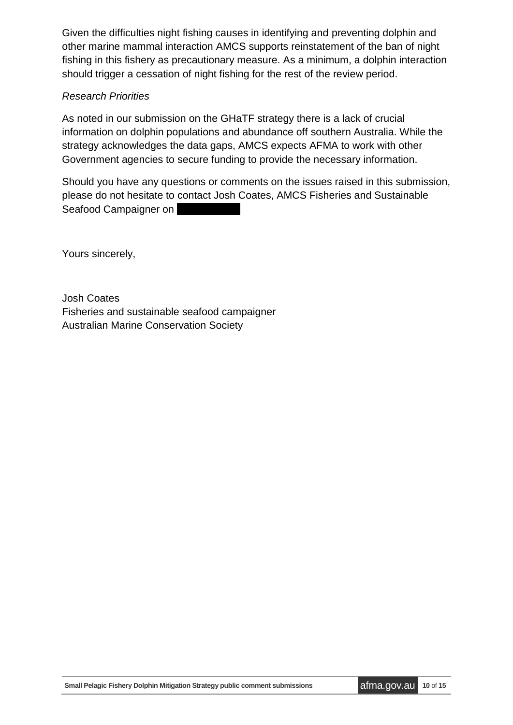Given the difficulties night fishing causes in identifying and preventing dolphin and other marine mammal interaction AMCS supports reinstatement of the ban of night fishing in this fishery as precautionary measure. As a minimum, a dolphin interaction should trigger a cessation of night fishing for the rest of the review period.

#### *Research Priorities*

As noted in our submission on the GHaTF strategy there is a lack of crucial information on dolphin populations and abundance off southern Australia. While the strategy acknowledges the data gaps, AMCS expects AFMA to work with other Government agencies to secure funding to provide the necessary information.

Should you have any questions or comments on the issues raised in this submission, please do not hesitate to contact Josh Coates, AMCS Fisheries and Sustainable Seafood Campaigner on

Yours sincerely,

Josh Coates Fisheries and sustainable seafood campaigner Australian Marine Conservation Society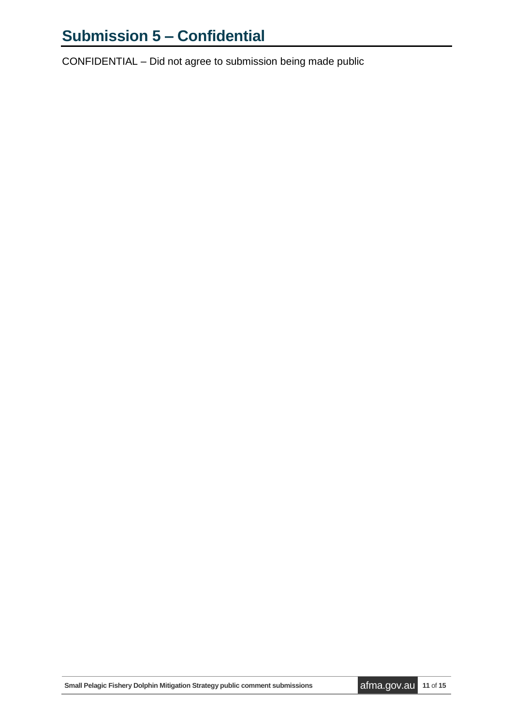# <span id="page-10-0"></span>**Submission 5 – Confidential**

CONFIDENTIAL – Did not agree to submission being made public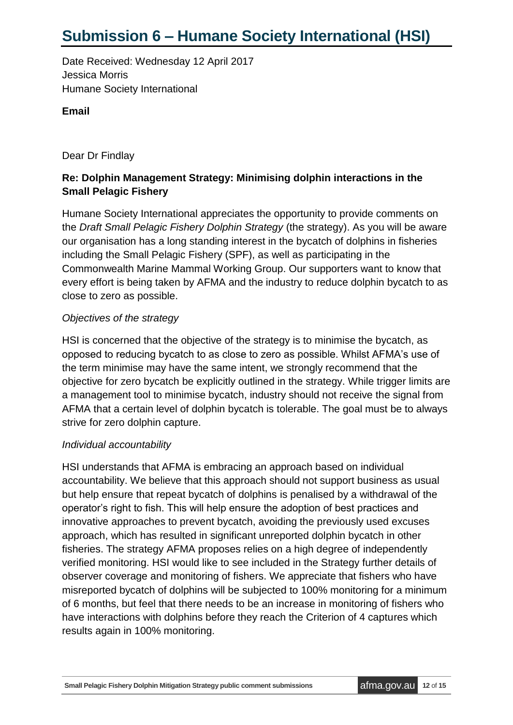# <span id="page-11-0"></span>**Submission 6 – Humane Society International (HSI)**

Date Received: Wednesday 12 April 2017 Jessica Morris Humane Society International

#### **Email**

Dear Dr Findlay

## **Re: Dolphin Management Strategy: Minimising dolphin interactions in the Small Pelagic Fishery**

Humane Society International appreciates the opportunity to provide comments on the *Draft Small Pelagic Fishery Dolphin Strategy* (the strategy). As you will be aware our organisation has a long standing interest in the bycatch of dolphins in fisheries including the Small Pelagic Fishery (SPF), as well as participating in the Commonwealth Marine Mammal Working Group. Our supporters want to know that every effort is being taken by AFMA and the industry to reduce dolphin bycatch to as close to zero as possible.

#### *Objectives of the strategy*

HSI is concerned that the objective of the strategy is to minimise the bycatch, as opposed to reducing bycatch to as close to zero as possible. Whilst AFMA's use of the term minimise may have the same intent, we strongly recommend that the objective for zero bycatch be explicitly outlined in the strategy. While trigger limits are a management tool to minimise bycatch, industry should not receive the signal from AFMA that a certain level of dolphin bycatch is tolerable. The goal must be to always strive for zero dolphin capture.

#### *Individual accountability*

HSI understands that AFMA is embracing an approach based on individual accountability. We believe that this approach should not support business as usual but help ensure that repeat bycatch of dolphins is penalised by a withdrawal of the operator's right to fish. This will help ensure the adoption of best practices and innovative approaches to prevent bycatch, avoiding the previously used excuses approach, which has resulted in significant unreported dolphin bycatch in other fisheries. The strategy AFMA proposes relies on a high degree of independently verified monitoring. HSI would like to see included in the Strategy further details of observer coverage and monitoring of fishers. We appreciate that fishers who have misreported bycatch of dolphins will be subjected to 100% monitoring for a minimum of 6 months, but feel that there needs to be an increase in monitoring of fishers who have interactions with dolphins before they reach the Criterion of 4 captures which results again in 100% monitoring.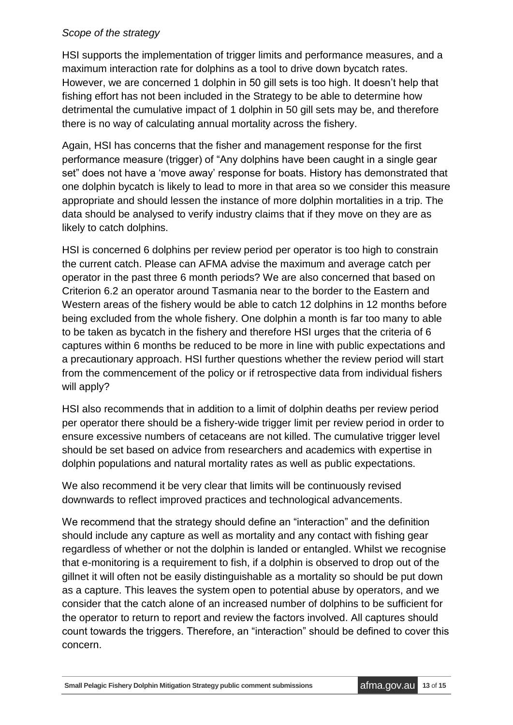#### *Scope of the strategy*

HSI supports the implementation of trigger limits and performance measures, and a maximum interaction rate for dolphins as a tool to drive down bycatch rates. However, we are concerned 1 dolphin in 50 gill sets is too high. It doesn't help that fishing effort has not been included in the Strategy to be able to determine how detrimental the cumulative impact of 1 dolphin in 50 gill sets may be, and therefore there is no way of calculating annual mortality across the fishery.

Again, HSI has concerns that the fisher and management response for the first performance measure (trigger) of "Any dolphins have been caught in a single gear set" does not have a 'move away' response for boats. History has demonstrated that one dolphin bycatch is likely to lead to more in that area so we consider this measure appropriate and should lessen the instance of more dolphin mortalities in a trip. The data should be analysed to verify industry claims that if they move on they are as likely to catch dolphins.

HSI is concerned 6 dolphins per review period per operator is too high to constrain the current catch. Please can AFMA advise the maximum and average catch per operator in the past three 6 month periods? We are also concerned that based on Criterion 6.2 an operator around Tasmania near to the border to the Eastern and Western areas of the fishery would be able to catch 12 dolphins in 12 months before being excluded from the whole fishery. One dolphin a month is far too many to able to be taken as bycatch in the fishery and therefore HSI urges that the criteria of 6 captures within 6 months be reduced to be more in line with public expectations and a precautionary approach. HSI further questions whether the review period will start from the commencement of the policy or if retrospective data from individual fishers will apply?

HSI also recommends that in addition to a limit of dolphin deaths per review period per operator there should be a fishery-wide trigger limit per review period in order to ensure excessive numbers of cetaceans are not killed. The cumulative trigger level should be set based on advice from researchers and academics with expertise in dolphin populations and natural mortality rates as well as public expectations.

We also recommend it be very clear that limits will be continuously revised downwards to reflect improved practices and technological advancements.

We recommend that the strategy should define an "interaction" and the definition should include any capture as well as mortality and any contact with fishing gear regardless of whether or not the dolphin is landed or entangled. Whilst we recognise that e-monitoring is a requirement to fish, if a dolphin is observed to drop out of the gillnet it will often not be easily distinguishable as a mortality so should be put down as a capture. This leaves the system open to potential abuse by operators, and we consider that the catch alone of an increased number of dolphins to be sufficient for the operator to return to report and review the factors involved. All captures should count towards the triggers. Therefore, an "interaction" should be defined to cover this concern.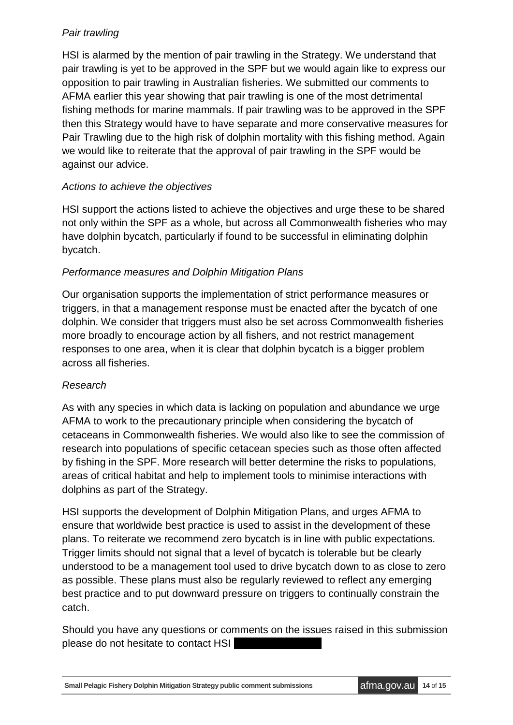## *Pair trawling*

HSI is alarmed by the mention of pair trawling in the Strategy. We understand that pair trawling is yet to be approved in the SPF but we would again like to express our opposition to pair trawling in Australian fisheries. We submitted our comments to AFMA earlier this year showing that pair trawling is one of the most detrimental fishing methods for marine mammals. If pair trawling was to be approved in the SPF then this Strategy would have to have separate and more conservative measures for Pair Trawling due to the high risk of dolphin mortality with this fishing method. Again we would like to reiterate that the approval of pair trawling in the SPF would be against our advice.

### *Actions to achieve the objectives*

HSI support the actions listed to achieve the objectives and urge these to be shared not only within the SPF as a whole, but across all Commonwealth fisheries who may have dolphin bycatch, particularly if found to be successful in eliminating dolphin bycatch.

#### *Performance measures and Dolphin Mitigation Plans*

Our organisation supports the implementation of strict performance measures or triggers, in that a management response must be enacted after the bycatch of one dolphin. We consider that triggers must also be set across Commonwealth fisheries more broadly to encourage action by all fishers, and not restrict management responses to one area, when it is clear that dolphin bycatch is a bigger problem across all fisheries.

#### *Research*

As with any species in which data is lacking on population and abundance we urge AFMA to work to the precautionary principle when considering the bycatch of cetaceans in Commonwealth fisheries. We would also like to see the commission of research into populations of specific cetacean species such as those often affected by fishing in the SPF. More research will better determine the risks to populations, areas of critical habitat and help to implement tools to minimise interactions with dolphins as part of the Strategy.

HSI supports the development of Dolphin Mitigation Plans, and urges AFMA to ensure that worldwide best practice is used to assist in the development of these plans. To reiterate we recommend zero bycatch is in line with public expectations. Trigger limits should not signal that a level of bycatch is tolerable but be clearly understood to be a management tool used to drive bycatch down to as close to zero as possible. These plans must also be regularly reviewed to reflect any emerging best practice and to put downward pressure on triggers to continually constrain the catch.

Should you have any questions or comments on the issues raised in this submission please do not hesitate to contact HSI

**Small Pelagic Fishery Dolphin Mitigation Strategy public comment submissions afma.gov.au 14** of **15**